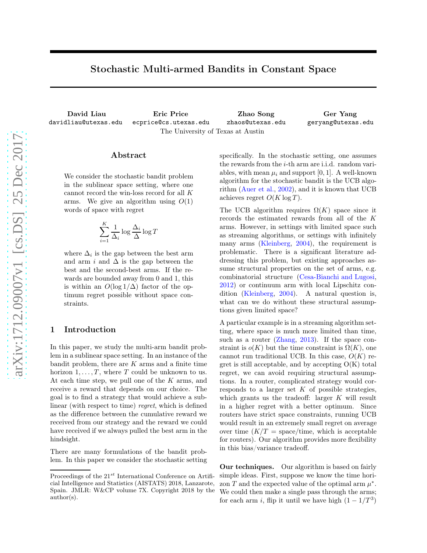# Stochastic Multi-armed Bandits in Constant Space

David Liau davidliau@utexas.edu Eric Price ecprice@cs.utexas.edu Zhao Song zhaos@utexas.edu Ger Yang geryang@utexas.edu The University of Texas at Austin

#### Abstract

We consider the stochastic bandit problem in the sublinear space setting, where one cannot record the win-loss record for all K arms. We give an algorithm using  $O(1)$ words of space with regret

$$
\sum_{i=1}^{K} \frac{1}{\Delta_i} \log \frac{\Delta_i}{\Delta} \log T
$$

where  $\Delta_i$  is the gap between the best arm and arm i and  $\Delta$  is the gap between the best and the second-best arms. If the rewards are bounded away from 0 and 1, this is within an  $O(\log 1/\Delta)$  factor of the optimum regret possible without space constraints.

### 1 Introduction

In this paper, we study the multi-arm bandit problem in a sublinear space setting. In an instance of the bandit problem, there are  $K$  arms and a finite time horizon  $1, \ldots, T$ , where T could be unknown to us. At each time step, we pull one of the  $K$  arms, and receive a reward that depends on our choice. The goal is to find a strategy that would achieve a sublinear (with respect to time) regret, which is defined as the difference between the cumulative reward we received from our strategy and the reward we could have received if we always pulled the best arm in the hindsight.

There are many formulations of the bandit problem. In this paper we consider the stochastic setting specifically. In the stochastic setting, one assumes the rewards from the  $i$ -th arm are i.i.d. random variables, with mean  $\mu_i$  and support [0, 1]. A well-known algorithm for the stochastic bandit is the UCB algorithm [\(Auer et al.,](#page-8-0) [2002\)](#page-8-0), and it is known that UCB achieves regret  $O(K \log T)$ .

The UCB algorithm requires  $\Omega(K)$  space since it records the estimated rewards from all of the K arms. However, in settings with limited space such as streaming algorithms, or settings with infinitely many arms [\(Kleinberg,](#page-8-1) [2004\)](#page-8-1), the requirement is problematic. There is a significant literature addressing this problem, but existing approaches assume structural properties on the set of arms, e.g. combinatorial structure [\(Cesa-Bianchi and Lugosi](#page-8-2), [2012\)](#page-8-2) or continuum arm with local Lipschitz condition [\(Kleinberg](#page-8-1), [2004\)](#page-8-1). A natural question is, what can we do without these structural assumptions given limited space?

A particular example is in a streaming algorithm setting, where space is much more limited than time, such as a router [\(Zhang](#page-9-0), [2013\)](#page-9-0). If the space constraint is  $o(K)$  but the time constraint is  $\Omega(K)$ , one cannot run traditional UCB. In this case,  $O(K)$  regret is still acceptable, and by accepting  $O(K)$  total regret, we can avoid requiring structural assumptions. In a router, complicated strategy would corresponds to a larger set  $K$  of possible strategies, which grants us the tradeoff: larger  $K$  will result in a higher regret with a better optimum. Since routers have strict space constraints, running UCB would result in an extremely small regret on average over time  $(K/T = space/time, which is acceptable)$ for routers). Our algorithm provides more flexibility in this bias/variance tradeoff.

Our techniques. Our algorithm is based on fairly simple ideas. First, suppose we know the time horizon T and the expected value of the optimal arm  $\mu^*$ . We could then make a single pass through the arms; for each arm i, flip it until we have high  $(1 - 1/T<sup>3</sup>)$ 

Proceedings of the  $21^{st}$  International Conference on Artificial Intelligence and Statistics (AISTATS) 2018, Lanzarote, Spain. JMLR: W&CP volume 7X. Copyright 2018 by the author(s).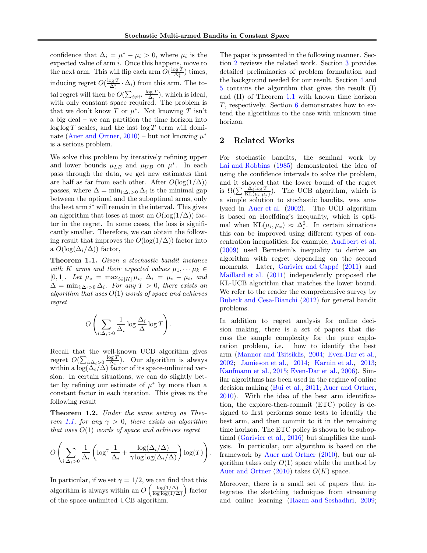confidence that  $\Delta_i = \mu^* - \mu_i > 0$ , where  $\mu_i$  is the expected value of arm i. Once this happens, move to the next arm. This will flip each arm  $O(\frac{\log T}{\Delta_i^2})$  times, inducing regret  $O(\frac{\log T}{\Delta_i^2} \cdot \Delta_i)$  from this arm. The total regret will then be  $O(\sum_{i \neq i^*} \frac{\log T}{\Delta_i})$ , which is ideal, with only constant space required. The problem is that we don't know T or  $\mu^*$ . Not knowing T isn't a big deal – we can partition the time horizon into  $\log \log T$  scales, and the last  $\log T$  term will domi-nate [\(Auer and Ortner](#page-8-3), [2010\)](#page-8-3) – but not knowing  $\mu^*$ is a serious problem.

We solve this problem by iteratively refining upper and lower bounds  $\mu_{LB}$  and  $\mu_{UB}$  on  $\mu^*$ . In each pass through the data, we get new estimates that are half as far from each other. After  $O(\log(1/\Delta))$ passes, where  $\Delta = \min_{i:\Delta_i>0} \Delta_i$  is the minimal gap between the optimal and the suboptimal arms, only the best arm  $i^*$  will remain in the interval. This gives an algorithm that loses at most an  $O(\log(1/\Delta))$  factor in the regret. In some cases, the loss is significantly smaller. Therefore, we can obtain the following result that improves the  $O(\log(1/\Delta))$  factor into a  $O(\log(\Delta_i/\Delta))$  factor,

<span id="page-1-0"></span>Theorem 1.1. Given a stochastic bandit instance with K arms and their expected values  $\mu_1, \cdots, \mu_k \in$ [0, 1]. Let  $\mu_* = \max_{i \in [K]} \mu_i$ ,  $\Delta_i = \mu_* - \mu_i$ , and  $\Delta = \min_{i:\Delta_i>0}\Delta_i$ . For any  $T>0$ , there exists an algorithm that uses  $O(1)$  words of space and achieves regret

$$
O\left(\sum_{i:\Delta_i>0}\frac{1}{\Delta_i}\log\frac{\Delta_i}{\Delta}\log T\right).
$$

Recall that the well-known UCB algorithm gives regret  $O(\sum_{i:\Delta_i>0} \frac{\log T}{\Delta_i})$ . Our algorithm is always within a  $\log(\Delta_i/\Delta)$  factor of its space-unlimited version. In certain situations, we can do slightly better by refining our estimate of  $\mu^*$  by more than a constant factor in each iteration. This gives us the following result

<span id="page-1-2"></span>Theorem 1.2. Under the same setting as Theo-rem [1.1,](#page-1-0) for any  $\gamma > 0$ , there exists an algorithm that uses  $O(1)$  words of space and achieves regret

$$
O\left(\sum_{i:\Delta_i>0}\frac{1}{\Delta_i}\left(\log^{\gamma}\frac{1}{\Delta_i}+\frac{\log(\Delta_i/\Delta)}{\gamma\log\log(\Delta_i/\Delta)}\right)\log(T)\right).
$$

In particular, if we set  $\gamma = 1/2$ , we can find that this algorithm is always within an  $O\left(\frac{\log(1/\Delta)}{\log\log(1/\Delta)}\right)$  factor of the space-unlimited UCB algorithm.

The paper is presented in the following manner. Section [2](#page-1-1) reviews the related work. Section [3](#page-2-0) provides detailed preliminaries of problem formulation and the background needed for our result. Section [4](#page-2-1) and [5](#page-5-0) contains the algorithm that gives the result (I) and (II) of Theorem [1.1](#page-1-0) with known time horizon T, respectively. Section  $6$  demonstrates how to extend the algorithms to the case with unknown time horizon.

#### <span id="page-1-1"></span>2 Related Works

For stochastic bandits, the seminal work by [Lai and Robbins](#page-8-4) [\(1985\)](#page-8-4) demonstrated the idea of using the confidence intervals to solve the problem, and it showed that the lower bound of the regret is  $\Omega(\sum \frac{\Delta_i \log T}{KL(\mu_i, \mu_*)})$ . The UCB algorithm, which is a simple solution to stochastic bandits, was analyzed in [Auer et al.](#page-8-0) [\(2002\)](#page-8-0). The UCB algorithm is based on Hoeffding's inequality, which is optimal when  $KL(\mu_i, \mu_*) \approx \Delta_i^2$ . In certain situations this can be improved using different types of concentration inequalities; for example, [Audibert et al.](#page-8-5) [\(2009\)](#page-8-5) used Bernstein's inequality to derive an algorithm with regret depending on the second moments. Later, [Garivier and Cappé](#page-8-6) [\(2011\)](#page-8-6) and [Maillard et al.](#page-8-7) [\(2011\)](#page-8-7) independently proposed the KL-UCB algorithm that matches the lower bound. We refer to the reader the comprehensive survey by [Bubeck and Cesa-Bianchi](#page-8-8) [\(2012\)](#page-8-8) for general bandit problems.

In addition to regret analysis for online decision making, there is a set of papers that discuss the sample complexity for the pure exploration problem, i.e. how to identify the best arm [\(Mannor and Tsitsiklis,](#page-9-1) [2004;](#page-9-1) [Even-Dar et al.](#page-8-9), [2002;](#page-8-9) [Jamieson et al.,](#page-8-10) [2014;](#page-8-10) [Karnin et al.](#page-8-11), [2013](#page-8-11); [Kaufmann et al.](#page-8-12), [2015;](#page-8-12) [Even-Dar et al.,](#page-8-13) [2006\)](#page-8-13). Similar algorithms has been used in the regime of online decision making [\(Bui et al.](#page-8-14), [2011;](#page-8-14) [Auer and Ortner](#page-8-3), [2010\)](#page-8-3). With the idea of the best arm identification, the explore-then-commit (ETC) policy is designed to first performs some tests to identify the best arm, and then commit to it in the remaining time horizon. The ETC policy is shown to be suboptimal [\(Garivier et al.](#page-8-15), [2016](#page-8-15)) but simplifies the analysis. In particular, our algorithm is based on the framework by [Auer and Ortner](#page-8-3) [\(2010\)](#page-8-3), but our algorithm takes only  $O(1)$  space while the method by [Auer and Ortner](#page-8-3) [\(2010\)](#page-8-3) takes  $O(K)$  space.

Moreover, there is a small set of papers that integrates the sketching techniques from streaming and online learning [\(Hazan and Seshadhri,](#page-8-16) [2009](#page-8-16);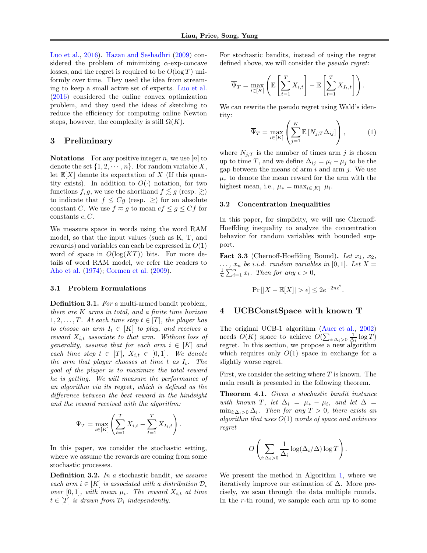[Luo et al.](#page-8-17), [2016\)](#page-8-17). [Hazan and Seshadhri](#page-8-16) [\(2009\)](#page-8-16) considered the problem of minimizing  $\alpha$ -exp-concave losses, and the regret is required to be  $O(\log T)$  uniformly over time. They used the idea from streaming to keep a small active set of experts. [Luo et al.](#page-8-17) [\(2016\)](#page-8-17) considered the online convex optimization problem, and they used the ideas of sketching to reduce the efficiency for computing online Newton steps, however, the complexity is still  $\Omega(K)$ .

### <span id="page-2-0"></span>3 Preliminary

**Notations** For any positive integer n, we use  $[n]$  to denote the set  $\{1, 2, \dots, n\}$ . For random variable X, let  $\mathbb{E}[X]$  denote its expectation of X (If this quantity exists). In addition to  $O(\cdot)$  notation, for two functions f, g, we use the shorthand  $f \lesssim g$  (resp.  $\gtrsim$ ) to indicate that  $f \leq Cg$  (resp.  $\geq$ ) for an absolute constant C. We use  $f \approx g$  to mean  $cf \leq g \leq Cf$  for constants  $c, C$ .

We measure space in words using the word RAM model, so that the input values (such as K, T, and rewards) and variables can each be expressed in  $O(1)$ word of space in  $O(\log(KT))$  bits. For more details of word RAM model, we refer the readers to [Aho et al.](#page-8-18) [\(1974\)](#page-8-18); [Cormen et al.](#page-8-19) [\(2009\)](#page-8-19).

#### 3.1 Problem Formulations

Definition 3.1. For a multi-armed bandit problem, there are K arms in total, and a finite time horizon 1, 2, ..., T. At each time step  $t \in [T]$ , the player has to choose an arm  $I_t \in [K]$  to play, and receives a reward  $X_{i,t}$  associate to that arm. Without loss of generality, assume that for each arm  $i \in [K]$  and each time step  $t \in [T]$ ,  $X_{i,t} \in [0,1]$ . We denote the arm that player chooses at time t as  $I_t$ . The goal of the player is to maximize the total reward he is getting. We will measure the performance of an algorithm via its regret, which is defined as the difference between the best reward in the hindsight and the reward received with the algorithm:

$$
\Psi_T = \max_{i \in [K]} \left( \sum_{t=1}^T X_{i,t} - \sum_{t=1}^T X_{I_t,t} \right)
$$

.

In this paper, we consider the stochastic setting, where we assume the rewards are coming from some stochastic processes.

Definition 3.2. In a stochastic bandit, we assume each arm  $i \in [K]$  is associated with a distribution  $\mathcal{D}_i$ over [0, 1], with mean  $\mu_i$ . The reward  $X_{i,t}$  at time  $t \in [T]$  is drawn from  $\mathcal{D}_i$  independently.

For stochastic bandits, instead of using the regret defined above, we will consider the pseudo regret:

$$
\overline{\Psi}_T = \max_{i \in [K]} \left( \mathbb{E} \left[ \sum_{t=1}^T X_{i,t} \right] - \mathbb{E} \left[ \sum_{t=1}^T X_{I_t,t} \right] \right).
$$

We can rewrite the pseudo regret using Wald's identity:

$$
\overline{\Psi}_T = \max_{i \in [K]} \left( \sum_{j=1}^K \mathbb{E} \left[ N_{j,T} \Delta_{ij} \right] \right), \tag{1}
$$

where  $N_{j,T}$  is the number of times arm j is chosen up to time T, and we define  $\Delta_{ij} = \mu_i - \mu_j$  to be the gap between the means of arm  $i$  and arm  $j$ . We use  $\mu_*$  to denote the mean reward for the arm with the highest mean, i.e.,  $\mu_* = \max_{i \in [K]} \mu_i$ .

#### 3.2 Concentration Inequalities

In this paper, for simplicity, we will use Chernoff-Hoeffding inequality to analyze the concentration behavior for random variables with bounded support.

**Fact 3.3** (Chernoff-Hoeffding Bound). Let  $x_1, x_2,$  $\ldots$ ,  $x_n$  be *i.i.d.* random variables in [0, 1]. Let X =  $\frac{1}{n}\sum_{i=1}^{n}x_i$ . Then for any  $\epsilon > 0$ ,

$$
\Pr\left[|X - \mathbb{E}[X]| > \epsilon\right] \le 2e^{-2n\epsilon^2}.
$$

#### <span id="page-2-1"></span>4 UCBConstSpace with known T

The original UCB-1 algorithm [\(Auer et al.](#page-8-0), [2002](#page-8-0)) needs  $O(K)$  space to achieve  $O(\sum_{i:\Delta_i>0} \frac{1}{\Delta_i} \log T)$ regret. In this section, we propose a new algorithm which requires only  $O(1)$  space in exchange for a slightly worse regret.

First, we consider the setting where  $T$  is known. The main result is presented in the following theorem.

<span id="page-2-2"></span>Theorem 4.1. Given a stochastic bandit instance with known T, let  $\Delta_i = \mu_* - \mu_i$ , and let  $\Delta =$  $\min_{i:\Delta_i>0}\Delta_i$ . Then for any  $T>0$ , there exists an algorithm that uses  $O(1)$  words of space and achieves regret

$$
O\left(\sum_{i:\Delta_i>0}\frac{1}{\Delta_i}\log(\Delta_i/\Delta)\log T\right)
$$

.

We present the method in Algorithm [1,](#page-3-0) where we iteratively improve our estimation of  $\Delta$ . More precisely, we scan through the data multiple rounds. In the  $r$ -th round, we sample each arm up to some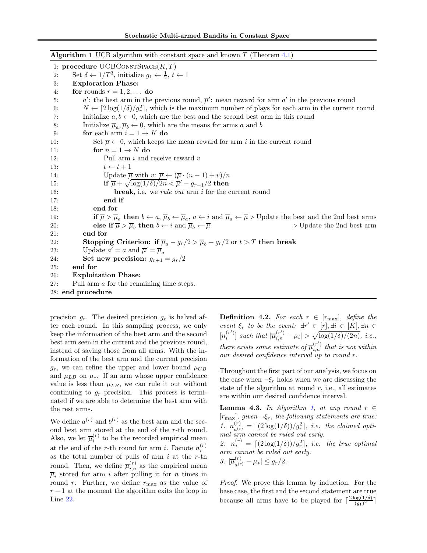<span id="page-3-0"></span>

| <b>Algorithm 1</b> UCB algorithm with constant space and known $T$ (Theorem 4.1)                                                                                                                                                 |
|----------------------------------------------------------------------------------------------------------------------------------------------------------------------------------------------------------------------------------|
| 1: procedure UCBCONSTSPACE $(K, T)$                                                                                                                                                                                              |
| Set $\delta \leftarrow 1/T^3$ , initialize $g_1 \leftarrow \frac{1}{2}, t \leftarrow 1$<br>2:                                                                                                                                    |
| <b>Exploration Phase:</b><br>3:                                                                                                                                                                                                  |
| for rounds $r = 1, 2, \dots$ do<br>4:                                                                                                                                                                                            |
| a': the best arm in the previous round, $\overline{\mu}'$ : mean reward for arm a' in the previous round<br>5:                                                                                                                   |
| $N \leftarrow [2\log(1/\delta)/g_r^2]$ , which is the maximum number of plays for each arm in the current round<br>6:                                                                                                            |
| Initialize $a, b \leftarrow 0$ , which are the best and the second best arm in this round<br>7:                                                                                                                                  |
| Initialize $\overline{\mu}_a, \overline{\mu}_b \leftarrow 0$ , which are the means for arms a and b<br>8:                                                                                                                        |
| for each arm $i = 1 \rightarrow K$ do<br>9:                                                                                                                                                                                      |
| Set $\overline{\mu} \leftarrow 0$ , which keeps the mean reward for arm i in the current round<br>10:                                                                                                                            |
| for $n = 1 \rightarrow N$ do<br>11:                                                                                                                                                                                              |
| Pull arm $i$ and receive reward $v$<br>12:                                                                                                                                                                                       |
| 13:<br>$t \leftarrow t + 1$                                                                                                                                                                                                      |
| Update $\overline{\mu}$ with $v: \overline{\mu} \leftarrow (\overline{\mu} \cdot (n-1) + v)/n$<br>14:                                                                                                                            |
| if $\overline{\mu} + \sqrt{\log(1/\delta)/2n} < \overline{\mu}' - g_{r-1}/2$ then<br>15:                                                                                                                                         |
| <b>break</b> , i.e. we rule out arm i for the current round<br>16:                                                                                                                                                               |
| end if<br>17:                                                                                                                                                                                                                    |
| end for<br>18:                                                                                                                                                                                                                   |
| if $\overline{\mu} > \overline{\mu}_a$ then $b \leftarrow a$ , $\overline{\mu}_b \leftarrow \overline{\mu}_a$ , $a \leftarrow i$ and $\overline{\mu}_a \leftarrow \overline{\mu}$ b Update the best and the 2nd best arms<br>19: |
| else if $\overline{\mu} > \overline{\mu}_b$ then $b \leftarrow i$ and $\overline{\mu}_b \leftarrow \overline{\mu}$<br>$\triangleright$ Update the 2nd best arm<br>20:                                                            |
| end for<br>21:                                                                                                                                                                                                                   |
| <b>Stopping Criterion:</b> if $\overline{\mu}_a - g_r/2 > \overline{\mu}_b + g_r/2$ or $t > T$ then break<br>22:                                                                                                                 |
| Update $a' = a$ and $\overline{\mu}' = \overline{\mu}_a$<br>23:                                                                                                                                                                  |
| Set new precision: $g_{r+1} = g_r/2$<br>24:                                                                                                                                                                                      |
| end for<br>25:                                                                                                                                                                                                                   |
| <b>Exploitation Phase:</b><br>26:                                                                                                                                                                                                |
| Pull arm a for the remaining time steps.<br>27:                                                                                                                                                                                  |
| 28: end procedure                                                                                                                                                                                                                |

precision  $g_r$ . The desired precision  $g_r$  is halved after each round. In this sampling process, we only keep the information of the best arm and the second best arm seen in the current and the previous round, instead of saving those from all arms. With the information of the best arm and the current precision  $g_r$ , we can refine the upper and lower bound  $\mu_{UB}$ and  $\mu_{LB}$  on  $\mu_*$ . If an arm whose upper confidence value is less than  $\mu_{LB}$ , we can rule it out without continuing to  $g_r$  precision. This process is terminated if we are able to determine the best arm with the rest arms.

We define  $a^{(r)}$  and  $b^{(r)}$  as the best arm and the second best arm stored at the end of the r-th round. Also, we let  $\overline{\mu}_i^{(r)}$  to be the recorded empirical mean at the end of the *r*-th round for arm *i*. Denote  $n_i^{(r)}$ as the total number of pulls of arm  $i$  at the  $r$ -th round. Then, we define  $\overline{\mu}_{i,n}^{(r)}$  as the empirical mean  $\overline{\mu}_i$  stored for arm *i* after pulling it for *n* times in round r. Further, we define  $r_{\text{max}}$  as the value of  $r - 1$  at the moment the algorithm exits the loop in Line [22.](#page-3-0)

**Definition 4.2.** For each  $r \in [r_{\text{max}}]$ , define the event  $\xi_r$  to be the event:  $\exists r' \in [r], \exists i \in [K], \exists n \in$  $[n_i^{(r')}]$  such that  $|\overline{\mu}_{i,n}^{(r')} - \mu_i| > \sqrt{\log(1/\delta)/(2n)}$ , i.e., there exists some estimate of  $\overline{\mu}_{i,n}^{(r')}$  that is not within our desired confidence interval up to round r.

Throughout the first part of our analysis, we focus on the case when  $\neg \xi_r$  holds when we are discussing the state of the algorithm at round  $r$ , i.e., all estimates are within our desired confidence interval.

<span id="page-3-1"></span>**Lemma 4.3.** In Algorithm [1,](#page-3-0) at any round  $r \in$  $[r_{\text{max}}]$ , given  $\neg \xi_r$ , the following statements are true: 1.  $n_{a^{(r)}}^{(r)} = \lceil (2 \log(1/\delta)) / g_r^2 \rceil$ , i.e. the claimed optimal arm cannot be ruled out early.

2.  $n_*^{(r)} = \lfloor (2 \log(1/\delta))/g_r^2 \rfloor$ , i.e. the true optimal arm cannot be ruled out early. 3.  $|\overline{\mu}_{a^{(r)}}^{(r)} - \mu_*| \leq g_r/2.$ 

Proof. We prove this lemma by induction. For the base case, the first and the second statement are true because all arms have to be played for  $\lceil \frac{2 \log(1/\delta)}{(a_1)^2} \rceil$  $\frac{\log(1/\delta)}{(g_1)^2}$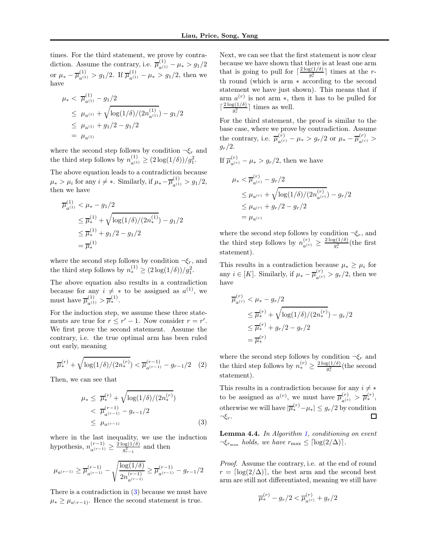times. For the third statement, we prove by contradiction. Assume the contrary, i.e.  $\overline{\mu}_{a^{(1)}}^{(1)} - \mu_* > g_1/2$ or  $\mu_* - \overline{\mu}_{a^{(1)}}^{(1)} > g_1/2$ . If  $\overline{\mu}_{a^{(1)}}^{(1)} - \mu_* > g_1/2$ , then we have

$$
\mu_* < \overline{\mu}_{a^{(1)}}^{(1)} - g_1/2
$$
\n
$$
\leq \mu_{a^{(1)}} + \sqrt{\log(1/\delta)/(2n_{a^{(1)}}^{(1)})} - g_1/2
$$
\n
$$
\leq \mu_{a^{(1)}} + g_1/2 - g_1/2
$$
\n
$$
= \mu_{a^{(1)}}
$$

where the second step follows by condition  $\neg \xi_r$  and the third step follows by  $n_{a^{(1)}}^{(1)} \geq (2 \log(1/\delta))/g_1^2$ .

The above equation leads to a contradiction because  $\mu_* > \mu_i$  for any  $i \neq *$ . Similarly, if  $\mu_* - \overline{\mu}_{a^{(1)}}^{(1)} > g_1/2$ , then we have

$$
\overline{\mu}_{a^{(1)}}^{(1)} < \mu_* - g_1/2
$$
\n
$$
\leq \overline{\mu}_*^{(1)} + \sqrt{\log(1/\delta)/(2n_*^{(1)})} - g_1/2
$$
\n
$$
\leq \overline{\mu}_*^{(1)} + g_1/2 - g_1/2
$$
\n
$$
= \overline{\mu}_*^{(1)}
$$

where the second step follows by condition  $\neg \xi_r$ , and the third step follows by  $n_*^{(1)} \geq (2 \log(1/\delta)) / g_1^2$ .

The above equation also results in a contradiction because for any  $i \neq *$  to be assigned as  $a^{(1)}$ , we must have  $\overline{\mu}_{a^{(1)}}^{(1)} > \overline{\mu}_{*}^{(1)}$ .

For the induction step, we assume these three statements are true for  $r \leq r' - 1$ . Now consider  $r = r'$ . We first prove the second statement. Assume the contrary, i.e. the true optimal arm has been ruled out early, meaning

$$
\overline{\mu}_{*}^{(r)} + \sqrt{\log(1/\delta)/(2n_{*}^{(r)})} < \overline{\mu}_{a^{(r-1)}}^{(r-1)} - g_{r-1}/2 \quad (2)
$$

Then, we can see that

$$
\mu_* \leq \overline{\mu}_*^{(r)} + \sqrt{\log(1/\delta)/(2n_*^{(r)})}
$$
  

$$
< \overline{\mu}_{a^{(r-1)}}^{(r-1)} - g_{r-1}/2
$$
  

$$
\leq \mu_{a^{(r-1)}} \tag{3}
$$

where in the last inequality, we use the induction hypothesis,  $n_{a^{(r-1)}}^{(r-1)} \geq \frac{2 \log(1/\delta)}{g_{r-1}^2}$  $rac{p g(1/\sigma)}{g_{r-1}^2}$  and then

$$
\mu_{a^{(r-1)}} \geq \overline{\mu}^{(r-1)}_{a^{(r-1)}} - \sqrt{\frac{\log(1/\delta)}{2n_{a^{(r-1)}}^{(r-1)}}} \geq \overline{\mu}^{(r-1)}_{a^{(r-1)}} - g_{r-1}/2
$$

There is a contradiction in [\(3\)](#page-4-0) because we must have  $\mu_* \geq \mu_{a(r-1)}$ . Hence the second statement is true.

Next, we can see that the first statement is now clear because we have shown that there is at least one arm that is going to pull for  $\lceil \frac{2 \log(1/\delta)}{g^2} \rceil$  $\frac{g(1/\theta)}{g_r^2}$  times at the rth round (which is arm ∗ according to the second statement we have just shown). This means that if arm  $a^{(r)}$  is not arm  $\ast$ , then it has to be pulled for  $\lceil \frac{2 \log(1/\delta)}{g_r^2} \rceil$  times as well.

For the third statement, the proof is similar to the base case, where we prove by contradiction. Assume the contrary, i.e.  $\overline{\mu}_{a^{(r)}}^{(r)} - \mu_* > g_r/2$  or  $\mu_* - \overline{\mu}_{a^{(r)}}^{(r)} >$  $g_r/2$ .

If  $\overline{\mu}_{a^{(r)}}^{(r)} - \mu_* > g_r/2$ , then we have

$$
\mu_{*} < \overline{\mu}_{a^{(r)}}^{(r)} - g_{r}/2
$$
\n
$$
\leq \mu_{a^{(r)}} + \sqrt{\log(1/\delta)/(2n_{a^{(r)}}^{(r)})} - g_{r}/2
$$
\n
$$
\leq \mu_{a^{(r)}} + g_{r}/2 - g_{r}/2
$$
\n
$$
= \mu_{a^{(r)}}
$$

where the second step follows by condition  $\neg \xi_r$ , and the third step follows by  $n_{a^{(r)}}^{(r)} \geq \frac{2 \log(1/\delta)}{g_r^2}$  $\frac{g(1/\theta)}{g_r^2}$ (the first statement).

This results in a contradiction because  $\mu_* \geq \mu_i$  for any  $i \in [K]$ . Similarly, if  $\mu_* - \overline{\mu}_{a^{(r)}}^{(r)} > g_r/2$ , then we have

$$
\overline{\mu}_{a^{(r)}}^{(r)} < \mu_* - g_r/2
$$
\n
$$
\leq \overline{\mu}_*^{(r)} + \sqrt{\log(1/\delta)/(2n_*^{(r)})} - g_r/2
$$
\n
$$
\leq \overline{\mu}_*^{(r)} + g_r/2 - g_r/2
$$
\n
$$
= \overline{\mu}_*^{(r)}
$$

where the second step follows by condition  $\neg \xi_r$  and the third step follows by  $n_{*}^{(r)} \geq \frac{2 \log(1/\delta)}{q^2}$  $rac{g(1/\theta)}{g_r^2}$ (the second statement).

This results in a contradiction because for any  $i \neq *$ to be assigned as  $a^{(r)}$ , we must have  $\overline{\mu}_{a^{(r)}}^{(r)} > \overline{\mu}_{*}^{(r)}$ , otherwise we will have  $|\overline{\mu}_*^{(r)} - \mu_*| \leq g_r/2$  by condition  $\neg \xi_r$ .

<span id="page-4-1"></span><span id="page-4-0"></span>Lemma 4.4. In Algorithm [1,](#page-3-0) conditioning on event  $\neg \xi_{r_{\text{max}}}$  holds, we have  $r_{\text{max}} \leq \lceil \log(2/\Delta) \rceil$ .

Proof. Assume the contrary, i.e. at the end of round  $r = \lfloor \log(2/\Delta) \rfloor$ , the best arm and the second best arm are still not differentiated, meaning we still have

$$
\overline{\mu}_{*}^{(r)} - g_{r}/2 < \overline{\mu}_{a^{(r)}}^{(r)} + g_{r}/2
$$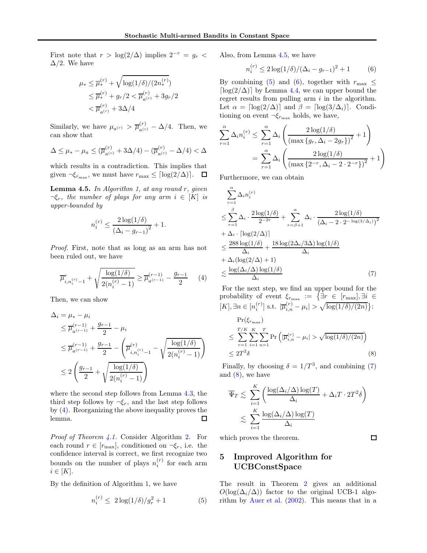First note that  $r > \log(2/\Delta)$  implies  $2^{-r} = g_r <$  $\Delta/2$ . We have

$$
\mu_* \leq \overline{\mu}_*^{(r)} + \sqrt{\log(1/\delta)/(2n_*^{(r)})}
$$
  
\n
$$
\leq \overline{\mu}_*^{(r)} + g_r/2 < \overline{\mu}_{a^{(r)}}^{(r)} + 3g_r/2
$$
  
\n
$$
< \overline{\mu}_{a^{(r)}}^{(r)} + 3\Delta/4
$$

Similarly, we have  $\mu_{a^{(r)}} > \overline{\mu}_{a^{(r)}}^{(r)} - \Delta/4$ . Then, we can show that

$$
\Delta \le \mu_* - \mu_a \le (\overline{\mu}_{a^{(r)}}^{(r)} + 3\Delta/4) - (\overline{\mu}_{a^{(r)}}^{(r)} - \Delta/4) < \Delta
$$

which results in a contradiction. This implies that given  $\neg \xi_{r_{\text{max}}}$ , we must have  $r_{\text{max}} \leq \lceil \log(2/\Delta) \rceil$ .

<span id="page-5-2"></span>**Lemma 4.5.** In Algorithm [1,](#page-3-0) at any round  $r$ , given  $\neg \xi_r$ , the number of plays for any arm  $i \in [K]$  is upper-bounded by

$$
n_i^{(r)} \le \frac{2\log(1/\delta)}{(\Delta_i - g_{r-1})^2} + 1.
$$

Proof. First, note that as long as an arm has not been ruled out, we have

<span id="page-5-1"></span>
$$
\overline{\mu}_{i,n_i^{(r)}-1}^r + \sqrt{\frac{\log(1/\delta)}{2(n_i^{(r)}-1)}} \ge \overline{\mu}_{a^{(r-1)}}^{(r-1)} - \frac{g_{r-1}}{2} \qquad (4)
$$

Then, we can show

$$
\Delta_{i} = \mu_{*} - \mu_{i}
$$
\n
$$
\leq \overline{\mu}_{a^{(r-1)}}^{(r-1)} + \frac{g_{r-1}}{2} - \mu_{i}
$$
\n
$$
\leq \overline{\mu}_{a^{(r-1)}}^{(r-1)} + \frac{g_{r-1}}{2} - \left(\overline{\mu}_{i,n_{i}^{(r)}-1}^{(r)} - \sqrt{\frac{\log(1/\delta)}{2(n_{i}^{(r)}-1)}}\right)
$$
\n
$$
\leq 2\left(\frac{g_{r-1}}{2} + \sqrt{\frac{\log(1/\delta)}{2(n_{i}^{(r)}-1)}}\right)
$$

where the second step follows from Lemma [4.3,](#page-3-1) the third step follows by  $\neg \xi_r$ , and the last step follows by [\(4\)](#page-5-1). Reorganizing the above inequality proves the lemma.  $\Box$ 

Proof of Theorem [4.1.](#page-2-2) Consider Algorithm [2.](#page-7-1) For each round  $r \in [r_{\text{max}}]$ , conditioned on  $\neg \xi_r$ , i.e. the confidence interval is correct, we first recognize two bounds on the number of plays  $n_i^{(r)}$  for each arm  $i \in [K]$ .

By the definition of Algorithm [1,](#page-3-0) we have

<span id="page-5-3"></span>
$$
n_i^{(r)} \le 2\log(1/\delta)/g_r^2 + 1 \tag{5}
$$

Also, from Lemma [4.5,](#page-5-2) we have

<span id="page-5-4"></span>
$$
n_i^{(r)} \le 2\log(1/\delta)/(\Delta_i - g_{r-1})^2 + 1 \tag{6}
$$

By combining [\(5\)](#page-5-3) and [\(6\)](#page-5-4), together with  $r_{\text{max}} \leq$  $\lceil \log(2/\Delta) \rceil$  by Lemma [4.4,](#page-4-1) we can upper bound the regret results from pulling arm  $i$  in the algorithm. Let  $\alpha = \lceil \log(2/\Delta) \rceil$  and  $\beta = \lceil \log(3/\Delta_i) \rceil$ . Conditioning on event  $\neg \xi_{r_{\text{max}}}$  holds, we have,

$$
\sum_{r=1}^{\alpha} \Delta_i n_i^{(r)} \le \sum_{r=1}^{\alpha} \Delta_i \left( \frac{2 \log(1/\delta)}{(\max\{g_r, \Delta_i - 2g_r\})^2} + 1 \right)
$$

$$
= \sum_{r=1}^{\alpha} \Delta_i \left( \frac{2 \log(1/\delta)}{(\max\{2^{-r}, \Delta_i - 2 \cdot 2^{-r}\})^2} + 1 \right)
$$

Furthermore, we can obtain

$$
\sum_{r=1}^{\alpha} \Delta_i n_i^{(r)}\n\leq \sum_{r=1}^{\beta} \Delta_i \cdot \frac{2 \log(1/\delta)}{2^{-2r}} + \sum_{r=\beta+1}^{\alpha} \Delta_i \cdot \frac{2 \log(1/\delta)}{(\Delta_i - 2 \cdot 2^{-\log(3/\Delta_i)})^2}\n+ \Delta_i \cdot \left[\log(2/\Delta)\right]\n\leq \frac{288 \log(1/\delta)}{\Delta_i} + \frac{18 \log(2\Delta_i/3\Delta) \log(1/\delta)}{\Delta_i}\n+ \Delta_i (\log(2/\Delta) + 1)\n\leq \frac{\log(\Delta_i/\Delta) \log(1/\delta)}{\Delta_i}
$$
\n(7)

For the next step, we find an upper bound for the probability of event  $\xi_{r_{\text{max}}} := \{\exists r \in [r_{\text{max}}], \exists i \in$  $[K], \exists n \in [n_i^{(r)}] \text{ s.t. } |\overline{\mu}_{i,n}^{(r)} - \mu_i| > \sqrt{\log(1/\delta)/(2n)}\}$ :

<span id="page-5-5"></span>
$$
\Pr(\xi_{r_{\max}})
$$
\n
$$
\leq \sum_{r=1}^{T/K} \sum_{i=1}^{K} \sum_{n=1}^{T} \Pr\left(|\overline{\mu}_{i,n}^{(r)} - \mu_i| > \sqrt{\log(1/\delta)/(2n)}\right)
$$
\n
$$
\leq 2T^2 \delta
$$
\n(8)

Finally, by choosing  $\delta = 1/T^3$ , and combining [\(7\)](#page-5-5) and  $(8)$ , we have

$$
\overline{\Psi}_{T} \lesssim \sum_{i=1}^{K} \left( \frac{\log(\Delta_{i}/\Delta) \log(T)}{\Delta_{i}} + \Delta_{i} T \cdot 2T^{2} \delta \right)
$$

$$
\lesssim \sum_{i=1}^{K} \frac{\log(\Delta_{i}/\Delta) \log(T)}{\Delta_{i}}
$$

<span id="page-5-0"></span>which proves the theorem.

#### <span id="page-5-6"></span> $\Box$

### 5 Improved Algorithm for UCBConstSpace

The result in Theorem [2](#page-7-1) gives an additional  $O(\log(\Delta_i/\Delta))$  factor to the original UCB-1 algorithm by [Auer et al.](#page-8-0) [\(2002\)](#page-8-0). This means that in a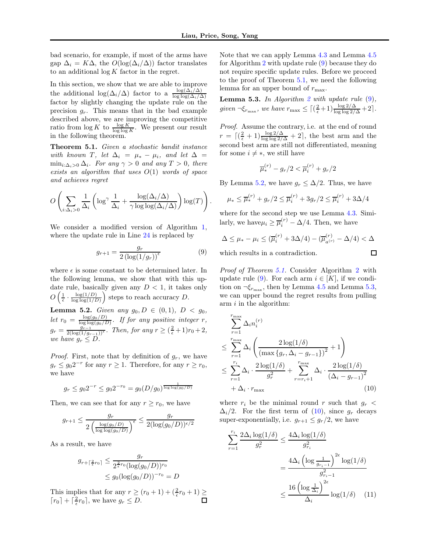bad scenario, for example, if most of the arms have gap  $\Delta_i = K\Delta$ , the  $O(log(\Delta_i/\Delta))$  factor translates to an additional  $\log K$  factor in the regret.

In this section, we show that we are able to improve the additional  $\log(\Delta_i/\Delta)$  factor to a  $\frac{\log(\Delta_i/\Delta)}{\log \log(\Delta_i/\Delta)}$ factor by slightly changing the update rule on the precision  $g_r$ . This means that in the bad example described above, we are improving the competitive ratio from  $\log K$  to  $\frac{\log K}{\log \log K}$ . We present our result in the following theorem.

<span id="page-6-1"></span>Theorem 5.1. Given a stochastic bandit instance with known T, let  $\Delta_i = \mu_* - \mu_i$ , and let  $\Delta =$  $\min_{i:\Delta_i>0}\Delta_i$ . For any  $\gamma>0$  and any  $T>0$ , there exists an algorithm that uses  $O(1)$  words of space and achieves regret

$$
O\left(\sum_{i:\Delta_i>0}\frac{1}{\Delta_i}\left(\log^{\gamma}\frac{1}{\Delta_i}+\frac{\log(\Delta_i/\Delta)}{\gamma\log\log(\Delta_i/\Delta)}\right)\log(T)\right).
$$

We consider a modified version of Algorithm [1,](#page-3-0) where the update rule in Line [24](#page-3-0) is replaced by

<span id="page-6-0"></span>
$$
g_{r+1} = \frac{g_r}{2\left(\log(1/g_r)\right)^{\epsilon}}\tag{9}
$$

where  $\epsilon$  is some constant to be determined later. In the following lemma, we show that with this update rule, basically given any  $D < 1$ , it takes only  $O\left(\frac{1}{\epsilon} \cdot \frac{\log(1/D)}{\log\log(1/L)}\right)$  $\frac{\log(1/D)}{\log\log(1/D)}$  steps to reach accuracy D.

<span id="page-6-2"></span>**Lemma 5.2.** Given any  $g_0, D \in (0,1)$ ,  $D < g_0$ , let  $r_0 = \frac{\log(g_0/D)}{\log\log(g_0/D)}$  $\frac{\log(g_0/D)}{\log\log(g_0/D)}$ . If for any positive integer r,  $g_r = \frac{g_{r-1}}{2(\log(1/g_{r-1}))^{\epsilon}}$ . Then, for any  $r \geq (\frac{2}{\epsilon}+1)r_0+2$ , we have  $g_r \leq D$ .

*Proof.* First, note that by definition of  $g_r$ , we have  $g_r \leq g_0 2^{-r}$  for any  $r \geq 1$ . Therefore, for any  $r \geq r_0$ , we have

$$
g_r \le g_0 2^{-r} \le g_0 2^{-r_0} = g_0 (D/g_0)^{\frac{1}{\log \log(g_0/D)}}
$$

Then, we can see that for any  $r \ge r_0$ , we have

$$
g_{r+1} \le \frac{g_r}{2\left(\frac{\log(g_0/D)}{\log\log(g_0/D)}\right)^{\epsilon}} \le \frac{g_r}{2(\log(g_0/D))^{\epsilon/2}}
$$

As a result, we have

$$
g_{r+\lceil \frac{2}{\epsilon}r_0 \rceil} \le \frac{g_r}{2^{\frac{2}{\epsilon}r_0} (\log(g_0/D))^{r_0}}
$$
  
 
$$
\le g_0 (\log(g_0/D))^{-r_0} = D
$$

This implies that for any  $r \ge (r_0 + 1) + (\frac{2}{\epsilon}r_0 + 1) \ge$  $\lceil r_0 \rceil + \lceil \frac{2}{\epsilon} r_0 \rceil$ , we have  $g_r \leq D$ .

Note that we can apply Lemma [4.3](#page-3-1) and Lemma [4.5](#page-5-2) for Algorithm [2](#page-7-1) with update rule [\(9\)](#page-6-0) because they do not require specific update rules. Before we proceed to the proof of Theorem [5.1,](#page-6-1) we need the following lemma for an upper bound of  $r_{\text{max}}$ .

<span id="page-6-3"></span>**Lemma 5.3.** In Algorithm [2](#page-7-1) with update rule  $(9)$ , given  $\neg \xi_{r_{\text{max}}}$ , we have  $r_{\text{max}} \leq \left[ \left( \frac{2}{\epsilon} + 1 \right) \frac{\log 2/\Delta}{\log \log 2/\Delta} + 2 \right]$ .

Proof. Assume the contrary, i.e. at the end of round  $r = \left[\left(\frac{2}{\epsilon} + 1\right) \frac{\log 2/\Delta}{\log \log 2/\Delta} + 2\right]$ , the best arm and the second best arm are still not differentiated, meaning for some  $i \neq *,$  we still have

$$
\overline{\mu}_*^{(r)} - g_r/2 < \overline{\mu}_i^{(r)} + g_r/2
$$

By Lemma [5.2,](#page-6-2) we have  $g_r \leq \Delta/2$ . Thus, we have

$$
\mu_* \le \overline{\mu}_*^{(r)} + g_r/2 \le \overline{\mu}_i^{(r)} + 3g_r/2 \le \overline{\mu}_i^{(r)} + 3\Delta/4
$$

where for the second step we use Lemma [4.3.](#page-3-1) Similarly, we have  $\mu_i \geq \overline{\mu}_i^{(r)} - \Delta/4$ . Then, we have

$$
\Delta \leq \mu_* - \mu_i \leq (\overline{\mu}_i^{(r)} + 3\Delta/4) - (\overline{\mu}_{a^{(r)}}^{(r)} - \Delta/4) < \Delta
$$

<span id="page-6-4"></span> $\Box$ 

which results in a contradiction.

Proof of Theorem [5.1.](#page-6-1) Consider Algorithm [2](#page-7-1) with update rule [\(9\)](#page-6-0). For each arm  $i \in [K]$ , if we condition on  $\neg \xi_{r_{\text{max}}}$ , then by Lemma [4.5](#page-5-2) and Lemma [5.3,](#page-6-3) we can upper bound the regret results from pulling  $arm i$  in the algorithm:

$$
\sum_{r=1}^{r_{\text{max}}} \Delta_i n_i^{(r)}\n\leq \sum_{r=1}^{r_{\text{max}}} \Delta_i \left( \frac{2 \log(1/\delta)}{\left( \max\{g_r, \Delta_i - g_{r-1}\} \right)^2} + 1 \right)\n\leq \sum_{r=1}^{r_i} \Delta_i \cdot \frac{2 \log(1/\delta)}{g_r^2} + \sum_{r=r_i+1}^{r_{\text{max}}} \Delta_i \cdot \frac{2 \log(1/\delta)}{(\Delta_i - g_{r-1})^2}\n+ \Delta_i \cdot r_{\text{max}} \tag{10}
$$

where  $r_i$  be the minimal round r such that  $g_r$  <  $\Delta_i/2$ . For the first term of [\(10\)](#page-6-4), since  $g_r$  decays super-exponentially, i.e.  $g_{r+1} \leq g_r/2$ , we have

<span id="page-6-5"></span>
$$
\sum_{r=1}^{r_i} \frac{2\Delta_i \log(1/\delta)}{g_r^2} \le \frac{4\Delta_i \log(1/\delta)}{g_{r_i}^2}
$$

$$
= \frac{4\Delta_i \left(\log \frac{1}{g_{r_i-1}}\right)^{2\epsilon} \log(1/\delta)}{g_{r_i-1}^2}
$$

$$
\le \frac{16 \left(\log \frac{1}{\Delta_i}\right)^{2\epsilon}}{\Delta_i} \log(1/\delta) \quad (11)
$$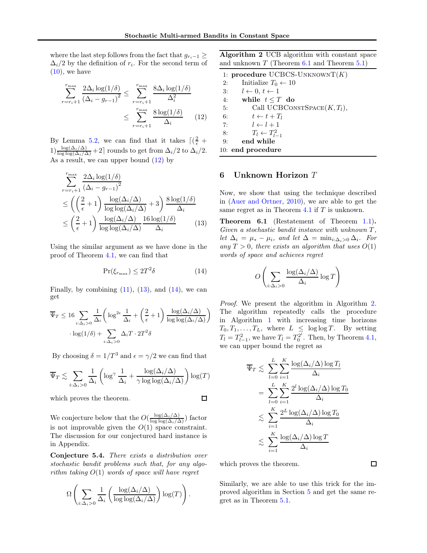where the last step follows from the fact that  $g_{r_i-1} \geq$  $\Delta_i/2$  by the definition of  $r_i$ . For the second term of  $(10)$ , we have

$$
\sum_{r=r_i+1}^{r_{\text{max}}} \frac{2\Delta_i \log(1/\delta)}{(\Delta_i - g_{r-1})^2} \le \sum_{r=r_i+1}^{r_{\text{max}}} \frac{8\Delta_i \log(1/\delta)}{\Delta_i^2}
$$

$$
\le \sum_{r=r_i+1}^{r_{\text{max}}} \frac{8\log(1/\delta)}{\Delta_i} \qquad (12)
$$

By Lemma [5.2,](#page-6-2) we can find that it takes  $\lceil (\frac{2}{\epsilon} +$  $1) \frac{\log(\Delta_i/\Delta)}{\log \log(\Delta_i/\Delta)} + 2$  rounds to get from  $\Delta_i/2$  to  $\Delta_i/2$ . As a result, we can upper bound [\(12\)](#page-7-2) by

$$
\sum_{r=r_i+1}^{r_{\text{max}}} \frac{2\Delta_i \log(1/\delta)}{(\Delta_i - g_{r-1})^2} \le \left( \left(\frac{2}{\epsilon} + 1\right) \frac{\log(\Delta_i/\Delta)}{\log \log(\Delta_i/\Delta)} + 3 \right) \frac{8 \log(1/\delta)}{\Delta_i} \le \left(\frac{2}{\epsilon} + 1\right) \frac{\log(\Delta_i/\Delta)}{\log \log(\Delta_i/\Delta)} \frac{16 \log(1/\delta)}{\Delta_i} \tag{13}
$$

Using the similar argument as we have done in the proof of Theorem [4.1,](#page-2-2) we can find that

<span id="page-7-4"></span>
$$
\Pr(\xi_{r_{\max}}) \le 2T^2 \delta \tag{14}
$$

Finally, by combining  $(11)$ ,  $(13)$ , and  $(14)$ , we can get

$$
\overline{\Psi}_T \le 16 \sum_{i:\Delta_i>0} \frac{1}{\Delta_i} \left( \log^{2\epsilon} \frac{1}{\Delta_i} + \left( \frac{2}{\epsilon} + 1 \right) \frac{\log(\Delta_i/\Delta)}{\log \log(\Delta_i/\Delta)} \right) \cdot \log(1/\delta) + \sum_{i:\Delta_i>0} \Delta_i T \cdot 2T^2 \delta
$$

By choosing  $\delta = 1/T^3$  and  $\epsilon = \gamma/2$  we can find that

$$
\overline{\Psi}_T \lesssim \sum_{i:\Delta_i>0} \frac{1}{\Delta_i} \left( \log^{\gamma} \frac{1}{\Delta_i} + \frac{\log(\Delta_i/\Delta)}{\gamma \log \log(\Delta_i/\Delta)} \right) \log(T)
$$

which proves the theorem.

We conjecture below that the  $O(\frac{\log(\Delta_i/\Delta)}{\log \log(\Delta_i/\Delta)})$  factor is not improvable given the  $O(1)$  space constraint. The discussion for our conjectured hard instance is in Appendix.

Conjecture 5.4. There exists a distribution over stochastic bandit problems such that, for any algorithm taking  $O(1)$  words of space will have regret

$$
\Omega\left(\sum_{i:\Delta_i>0}\frac{1}{\Delta_i}\left(\frac{\log(\Delta_i/\Delta)}{\log\log(\Delta_i/\Delta)}\right)\log(T)\right).
$$

<span id="page-7-1"></span>Algorithm 2 UCB algorithm with constant space and unknown  $T$  (Theorem [6.1](#page-7-5) and Theorem [5.1\)](#page-6-1)

<span id="page-7-2"></span>1: procedure UCBCS-UNKNOWN $T(K)$ 2: Initialize  $T_0 \leftarrow 10$ 3:  $l \leftarrow 0, t \leftarrow 1$ 4: while  $t \leq T$  do 5: Call UCBCONSTSPACE $(K, T_l)$ , 6:  $t \leftarrow t + T_l$ 7:  $l \leftarrow l + 1$ 8:  $T_l \leftarrow T_{l-1}^2$ 9: end while 10: end procedure

### <span id="page-7-0"></span>6 Unknown Horizon T

Now, we show that using the technique described in [\(Auer and Ortner,](#page-8-3) [2010](#page-8-3)), we are able to get the same regret as in Theorem [4.1](#page-2-2) if T is unknown.

<span id="page-7-5"></span><span id="page-7-3"></span>Theorem 6.1 (Restatement of Theorem [1.1\)](#page-1-0). Given a stochastic bandit instance with unknown  $T$ , let  $\Delta_i = \mu_* - \mu_i$ , and let  $\Delta = \min_{i:\Delta_i>0} \Delta_i$ . For any  $T > 0$ , there exists an algorithm that uses  $O(1)$ words of space and achieves regret

$$
O\left(\sum_{i:\Delta_i>0} \frac{\log(\Delta_i/\Delta)}{\Delta_i} \log T\right)
$$

Proof. We present the algorithm in Algorithm [2.](#page-7-1) The algorithm repeatedly calls the procedure in Algorithm [1](#page-3-0) with increasing time horizons  $T_0, T_1, \ldots, T_L$ , where  $L \leq \log \log T$ . By setting  $T_l = T_{l-1}^2$ , we have  $T_l = T_0^{2^l}$ . Then, by Theorem [4.1,](#page-2-2) we can upper bound the regret as

$$
\overline{\Psi}_{T} \leq \sum_{l=0}^{L} \sum_{i=1}^{K} \frac{\log(\Delta_{i}/\Delta) \log T_{l}}{\Delta_{i}}
$$
\n
$$
= \sum_{l=0}^{L} \sum_{i=1}^{K} \frac{2^{l} \log(\Delta_{i}/\Delta) \log T_{0}}{\Delta_{i}}
$$
\n
$$
\leq \sum_{i=1}^{K} \frac{2^{L} \log(\Delta_{i}/\Delta) \log T_{0}}{\Delta_{i}}
$$
\n
$$
\leq \sum_{i=1}^{K} \frac{\log(\Delta_{i}/\Delta) \log T}{\Delta_{i}}
$$

which proves the theorem.

 $\Box$ 

Similarly, we are able to use this trick for the improved algorithm in Section [5](#page-5-0) and get the same regret as in Theorem [5.1.](#page-6-1)

 $\Box$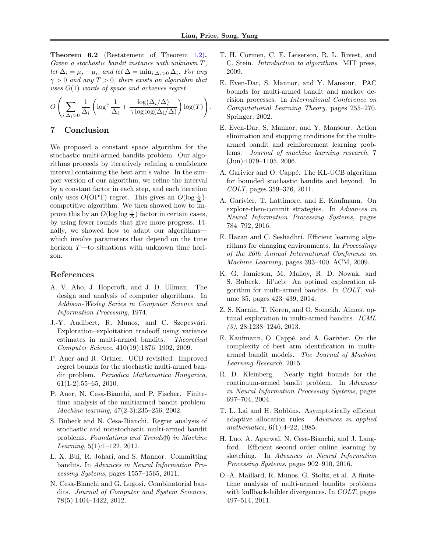.

Theorem 6.2 (Restatement of Theorem [1.2\)](#page-1-2). Given a stochastic bandit instance with unknown  $T$ , let  $\Delta_i = \mu_* - \mu_i$ , and let  $\Delta = \min_{i:\Delta_i>0} \Delta_i$ . For any  $\gamma > 0$  and any  $T > 0$ , there exists an algorithm that uses  $O(1)$  words of space and achieves regret

$$
O\left(\sum_{i:\Delta_i>0}\frac{1}{\Delta_i}\left(\log^{\gamma}\frac{1}{\Delta_i}+\frac{\log(\Delta_i/\Delta)}{\gamma\log\log(\Delta_i/\Delta)}\right)\log(T)\right)
$$

### 7 Conclusion

We proposed a constant space algorithm for the stochastic multi-armed bandits problem. Our algorithms proceeds by iteratively refining a confidence interval containing the best arm's value. In the simpler version of our algorithm, we refine the interval by a constant factor in each step, and each iteration only uses  $O(OPT)$  regret. This gives an  $O(\log \frac{1}{\Delta})$ competitive algorithm. We then showed how to improve this by an  $O(\log \log \frac{1}{\Delta})$  factor in certain cases, by using fewer rounds that give more progress. Finally, we showed how to adapt our algorithms which involve parameters that depend on the time horizon T—to situations with unknown time horizon.

#### References

- <span id="page-8-18"></span>A. V. Aho, J. Hopcroft, and J. D. Ullman. The design and analysis of computer algorithms. In Addison-Wesley Series in Computer Science and Information Processing, 1974.
- <span id="page-8-5"></span>J.-Y. Audibert, R. Munos, and C. Szepesvári. Exploration–exploitation tradeoff using variance estimates in multi-armed bandits. Theoretical Computer Science, 410(19):1876–1902, 2009.
- <span id="page-8-3"></span>P. Auer and R. Ortner. UCB revisited: Improved regret bounds for the stochastic multi-armed bandit problem. Periodica Mathematica Hungarica, 61(1-2):55–65, 2010.
- <span id="page-8-0"></span>P. Auer, N. Cesa-Bianchi, and P. Fischer. Finitetime analysis of the multiarmed bandit problem. Machine learning, 47(2-3):235–256, 2002.
- <span id="page-8-8"></span>S. Bubeck and N. Cesa-Bianchi. Regret analysis of stochastic and nonstochastic multi-armed bandit problems. Foundations and Trends® in Machine Learning, 5(1):1–122, 2012.
- <span id="page-8-14"></span>L. X. Bui, R. Johari, and S. Mannor. Committing bandits. In Advances in Neural Information Processing Systems, pages 1557–1565, 2011.
- <span id="page-8-2"></span>N. Cesa-Bianchi and G. Lugosi. Combinatorial bandits. Journal of Computer and System Sciences, 78(5):1404–1422, 2012.
- <span id="page-8-19"></span>T. H. Cormen, C. E. Leiserson, R. L. Rivest, and C. Stein. Introduction to algorithms. MIT press, 2009.
- <span id="page-8-9"></span>E. Even-Dar, S. Mannor, and Y. Mansour. PAC bounds for multi-armed bandit and markov decision processes. In International Conference on Computational Learning Theory, pages 255–270. Springer, 2002.
- <span id="page-8-13"></span>E. Even-Dar, S. Mannor, and Y. Mansour. Action elimination and stopping conditions for the multiarmed bandit and reinforcement learning problems. Journal of machine learning research, 7 (Jun):1079–1105, 2006.
- <span id="page-8-6"></span>A. Garivier and O. Cappé. The KL-UCB algorithm for bounded stochastic bandits and beyond. In COLT, pages 359–376, 2011.
- <span id="page-8-15"></span>A. Garivier, T. Lattimore, and E. Kaufmann. On explore-then-commit strategies. In Advances in Neural Information Processing Systems, pages 784–792, 2016.
- <span id="page-8-16"></span>E. Hazan and C. Seshadhri. Efficient learning algorithms for changing environments. In Proceedings of the 26th Annual International Conference on Machine Learning, pages 393–400. ACM, 2009.
- <span id="page-8-10"></span>K. G. Jamieson, M. Malloy, R. D. Nowak, and S. Bubeck. lil'ucb: An optimal exploration algorithm for multi-armed bandits. In COLT, volume 35, pages 423–439, 2014.
- <span id="page-8-11"></span>Z. S. Karnin, T. Koren, and O. Somekh. Almost optimal exploration in multi-armed bandits. ICML (3), 28:1238–1246, 2013.
- <span id="page-8-12"></span>E. Kaufmann, O. Cappé, and A. Garivier. On the complexity of best arm identification in multiarmed bandit models. The Journal of Machine Learning Research, 2015.
- <span id="page-8-1"></span>R. D. Kleinberg. Nearly tight bounds for the continuum-armed bandit problem. In Advances in Neural Information Processing Systems, pages 697–704, 2004.
- <span id="page-8-4"></span>T. L. Lai and H. Robbins. Asymptotically efficient adaptive allocation rules. Advances in applied mathematics, 6(1):4–22, 1985.
- <span id="page-8-17"></span>H. Luo, A. Agarwal, N. Cesa-Bianchi, and J. Langford. Efficient second order online learning by sketching. In Advances in Neural Information Processing Systems, pages 902–910, 2016.
- <span id="page-8-7"></span>O.-A. Maillard, R. Munos, G. Stoltz, et al. A finitetime analysis of multi-armed bandits problems with kullback-leibler divergences. In COLT, pages 497–514, 2011.